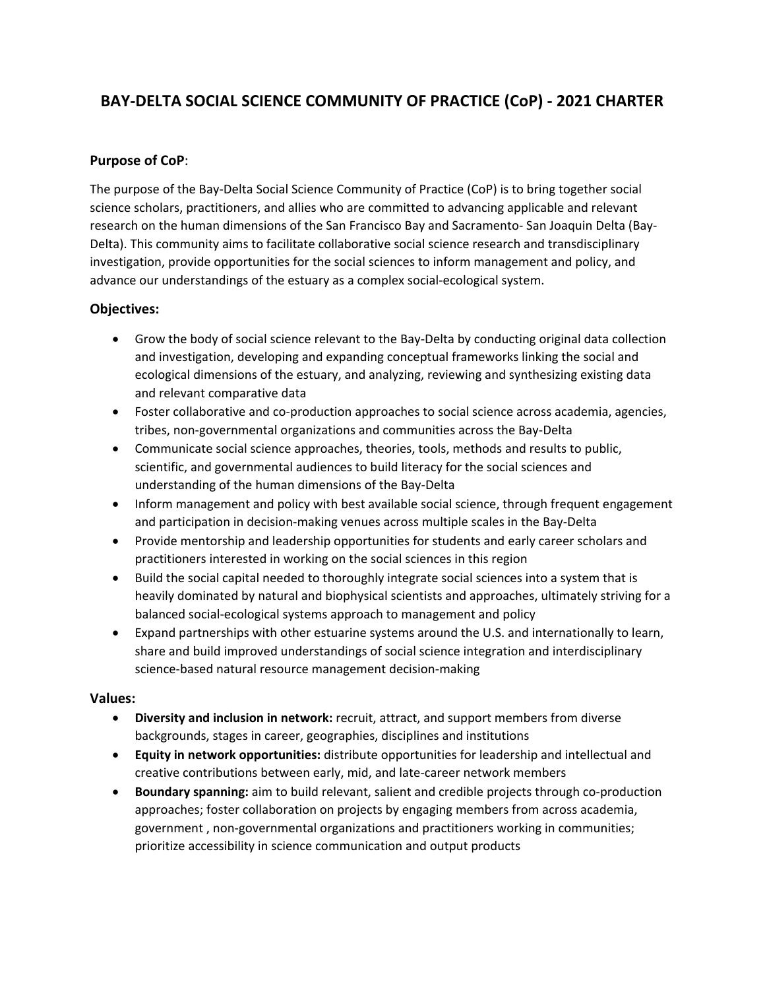# **BAY-DELTA SOCIAL SCIENCE COMMUNITY OF PRACTICE (CoP) - 2021 CHARTER**

## **Purpose of CoP**:

The purpose of the Bay-Delta Social Science Community of Practice (CoP) is to bring together social science scholars, practitioners, and allies who are committed to advancing applicable and relevant research on the human dimensions of the San Francisco Bay and Sacramento- San Joaquin Delta (Bay-Delta). This community aims to facilitate collaborative social science research and transdisciplinary investigation, provide opportunities for the social sciences to inform management and policy, and advance our understandings of the estuary as a complex social-ecological system.

## **Objectives:**

- Grow the body of social science relevant to the Bay-Delta by conducting original data collection and investigation, developing and expanding conceptual frameworks linking the social and ecological dimensions of the estuary, and analyzing, reviewing and synthesizing existing data and relevant comparative data
- Foster collaborative and co-production approaches to social science across academia, agencies, tribes, non-governmental organizations and communities across the Bay-Delta
- Communicate social science approaches, theories, tools, methods and results to public, scientific, and governmental audiences to build literacy for the social sciences and understanding of the human dimensions of the Bay-Delta
- Inform management and policy with best available social science, through frequent engagement and participation in decision-making venues across multiple scales in the Bay-Delta
- Provide mentorship and leadership opportunities for students and early career scholars and practitioners interested in working on the social sciences in this region
- Build the social capital needed to thoroughly integrate social sciences into a system that is heavily dominated by natural and biophysical scientists and approaches, ultimately striving for a balanced social-ecological systems approach to management and policy
- Expand partnerships with other estuarine systems around the U.S. and internationally to learn, share and build improved understandings of social science integration and interdisciplinary science-based natural resource management decision-making

#### **Values:**

- **Diversity and inclusion in network:** recruit, attract, and support members from diverse backgrounds, stages in career, geographies, disciplines and institutions
- **Equity in network opportunities:** distribute opportunities for leadership and intellectual and creative contributions between early, mid, and late-career network members
- **Boundary spanning:** aim to build relevant, salient and credible projects through co-production approaches; foster collaboration on projects by engaging members from across academia, government , non-governmental organizations and practitioners working in communities; prioritize accessibility in science communication and output products